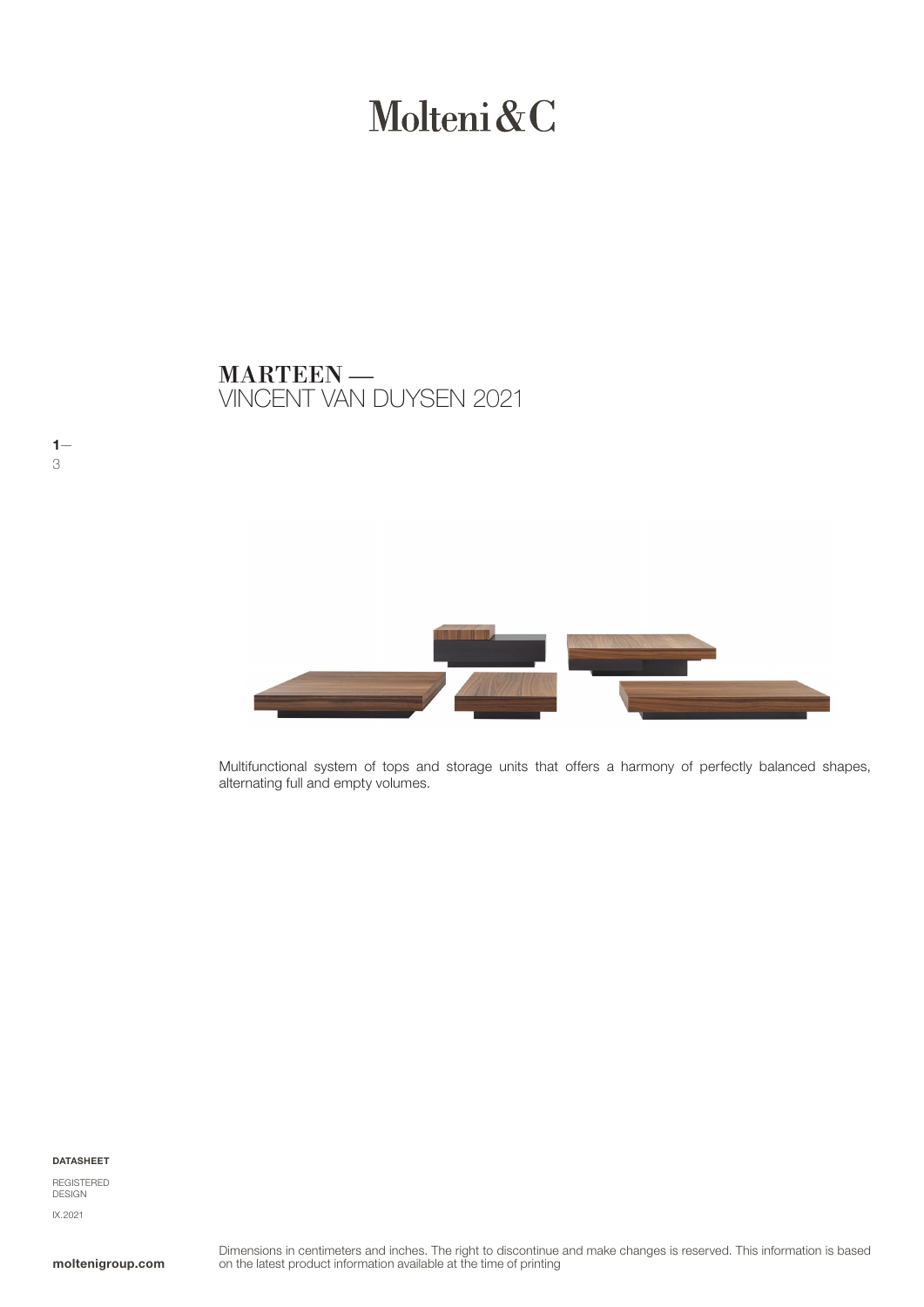# Molteni&C

VINCENT VAN DUYSEN 2021 MARTEEN —



Multifunctional system of tops and storage units that offers a harmony of perfectly balanced shapes, alternating full and empty volumes.

DATASHEET

 $1 -$ 3

REGISTERED DESIGN IX.2021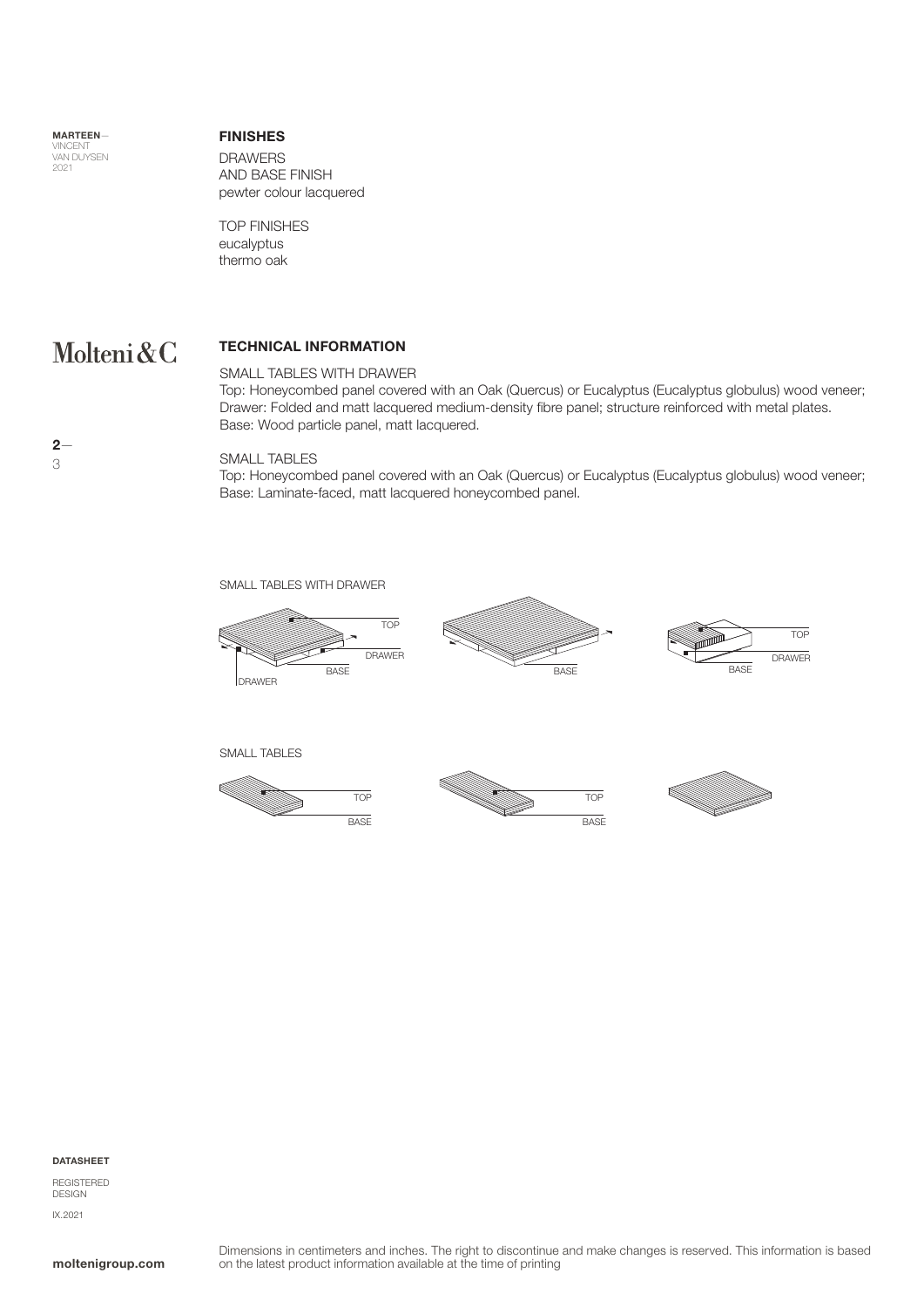MARTEEN— VINCENT<br>VAN DUYSEN 2021

## FINISHES

DRAWERS AND BASE FINISH pewter colour lacquered

TOP FINISHES eucalyptus thermo oak

#### Molteni&C TECHNICAL INFORMATION

#### SMALL TABLES WITH DRAWER

Top: Honeycombed panel covered with an Oak (Quercus) or Eucalyptus (Eucalyptus globulus) wood veneer; Drawer: Folded and matt lacquered medium-density fibre panel; structure reinforced with metal plates. Base: Wood particle panel, matt lacquered.

#### SMALL TABLES

Top: Honeycombed panel covered with an Oak (Quercus) or Eucalyptus (Eucalyptus globulus) wood veneer; Base: Laminate-faced, matt lacquered honeycombed panel.





#### DATASHEET

REGISTERED DESIGN IX.2021

 $2-$ 3